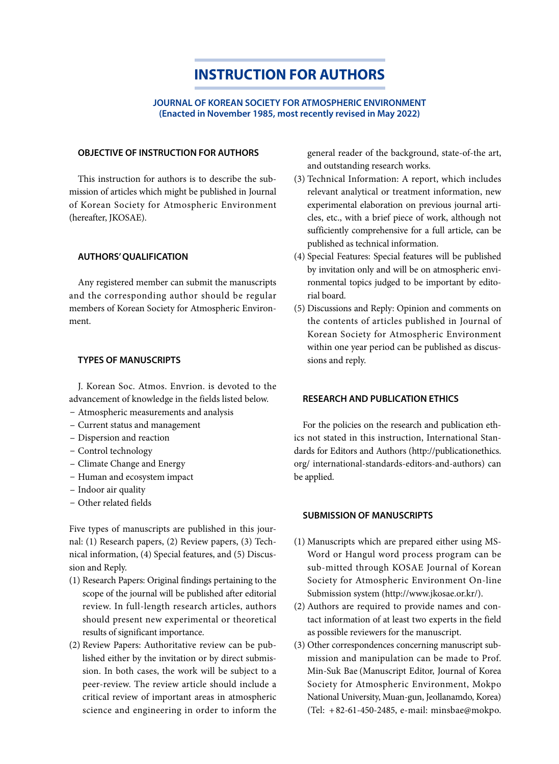# **INSTRUCTION FOR AUTHORS**

### **JOURNAL OF KOREAN SOCIETY FOR ATMOSPHERIC ENVIRONMENT (Enacted in November 1985, most recently revised in May 2022)**

### **OBJECTIVE OF INSTRUCTION FOR AUTHORS**

This instruction for authors is to describe the submission of articles which might be published in Journal of Korean Society for Atmospheric Environment (hereafter, JKOSAE).

# **AUTHORS' QUALIFICATION**

Any registered member can submit the manuscripts and the corresponding author should be regular members of Korean Society for Atmospheric Environment.

# **TYPES OF MANUSCRIPTS**

J. Korean Soc. Atmos. Envrion. is devoted to the advancement of knowledge in the fields listed below.

- Atmospheric measurements and analysis
- Current status and management
- Dispersion and reaction
- Control technology
- Climate Change and Energy
- Human and ecosystem impact
- Indoor air quality
- Other related fields

Five types of manuscripts are published in this journal: (1) Research papers, (2) Review papers, (3) Technical information, (4) Special features, and (5) Discussion and Reply.

- (1) Research Papers: Original findings pertaining to the scope of the journal will be published after editorial review. In full-length research articles, authors should present new experimental or theoretical results of significant importance.
- (2) Review Papers: Authoritative review can be published either by the invitation or by direct submission. In both cases, the work will be subject to a peer-review. The review article should include a critical review of important areas in atmospheric science and engineering in order to inform the

general reader of the background, state-of-the art, and outstanding research works.

- (3) Technical Information: A report, which includes relevant analytical or treatment information, new experimental elaboration on previous journal articles, etc., with a brief piece of work, although not sufficiently comprehensive for a full article, can be published as technical information.
- (4) Special Features: Special features will be published by invitation only and will be on atmospheric environmental topics judged to be important by editorial board.
- (5) Discussions and Reply: Opinion and comments on the contents of articles published in Journal of Korean Society for Atmospheric Environment within one year period can be published as discussions and reply.

# **RESEARCH AND PUBLICATION ETHICS**

For the policies on the research and publication ethics not stated in this instruction, International Standards for Editors and Authors (http://publicationethics. org/ international-standards-editors-and-authors) can be applied.

# **SUBMISSION OF MANUSCRIPTS**

- (1) Manuscripts which are prepared either using MS-Word or Hangul word process program can be sub-mitted through KOSAE Journal of Korean Society for Atmospheric Environment On-line Submission system (http://www.jkosae.or.kr/).
- (2) Authors are required to provide names and contact information of at least two experts in the field as possible reviewers for the manuscript.
- (3) Other correspondences concerning manuscript submission and manipulation can be made to Prof. Min-Suk Bae (Manuscript Editor, Journal of Korea Society for Atmospheric Environment, Mokpo National University, Muan-gun, Jeollanamdo, Korea) (Tel: + 82-61-450-2485, e-mail: minsbae@mokpo.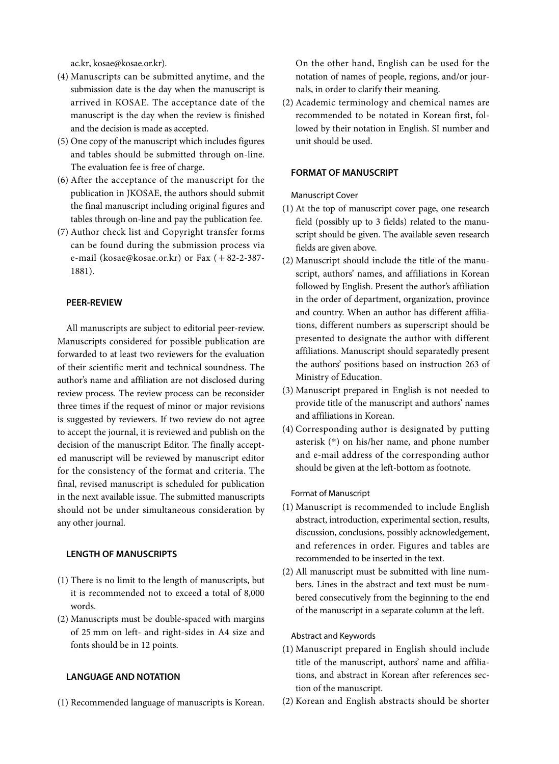ac.kr, kosae@kosae.or.kr).

- (4) Manuscripts can be submitted anytime, and the submission date is the day when the manuscript is arrived in KOSAE. The acceptance date of the manuscript is the day when the review is finished and the decision is made as accepted.
- (5) One copy of the manuscript which includes figures and tables should be submitted through on-line. The evaluation fee is free of charge.
- (6) After the acceptance of the manuscript for the publication in JKOSAE, the authors should submit the final manuscript including original figures and tables through on-line and pay the publication fee.
- (7) Author check list and Copyright transfer forms can be found during the submission process via e-mail (kosae@kosae.or.kr) or Fax ( +82-2-387-1881).

# **PEER-REVIEW**

All manuscripts are subject to editorial peer-review. Manuscripts considered for possible publication are forwarded to at least two reviewers for the evaluation of their scientific merit and technical soundness. The author's name and affiliation are not disclosed during review process. The review process can be reconsider three times if the request of minor or major revisions is suggested by reviewers. If two review do not agree to accept the journal, it is reviewed and publish on the decision of the manuscript Editor. The finally accepted manuscript will be reviewed by manuscript editor for the consistency of the format and criteria. The final, revised manuscript is scheduled for publication in the next available issue. The submitted manuscripts should not be under simultaneous consideration by any other journal.

### **LENGTH OF MANUSCRIPTS**

- (1) There is no limit to the length of manuscripts, but it is recommended not to exceed a total of 8,000 words.
- (2) Manuscripts must be double-spaced with margins of 25 mm on left- and right-sides in A4 size and fonts should be in 12 points.

### **LANGUAGE AND NOTATION**

(1) Recommended language of manuscripts is Korean.

On the other hand, English can be used for the notation of names of people, regions, and/or journals, in order to clarify their meaning.

(2) Academic terminology and chemical names are recommended to be notated in Korean first, followed by their notation in English. SI number and unit should be used.

### **FORMAT OF MANUSCRIPT**

### Manuscript Cover

- (1) At the top of manuscript cover page, one research field (possibly up to 3 fields) related to the manuscript should be given. The available seven research fields are given above.
- (2) Manuscript should include the title of the manuscript, authors' names, and affiliations in Korean followed by English. Present the author's affiliation in the order of department, organization, province and country. When an author has different affiliations, different numbers as superscript should be presented to designate the author with different affiliations. Manuscript should separatedly present the authors' positions based on instruction 263 of Ministry of Education.
- (3) Manuscript prepared in English is not needed to provide title of the manuscript and authors' names and affiliations in Korean.
- (4) Corresponding author is designated by putting asterisk (\*) on his/her name, and phone number and e-mail address of the corresponding author should be given at the left-bottom as footnote.

### Format of Manuscript

- (1) Manuscript is recommended to include English abstract, introduction, experimental section, results, discussion, conclusions, possibly acknowledgement, and references in order. Figures and tables are recommended to be inserted in the text.
- (2) All manuscript must be submitted with line numbers. Lines in the abstract and text must be numbered consecutively from the beginning to the end of the manuscript in a separate column at the left.

#### Abstract and Keywords

- (1) Manuscript prepared in English should include title of the manuscript, authors' name and affiliations, and abstract in Korean after references section of the manuscript.
- (2) Korean and English abstracts should be shorter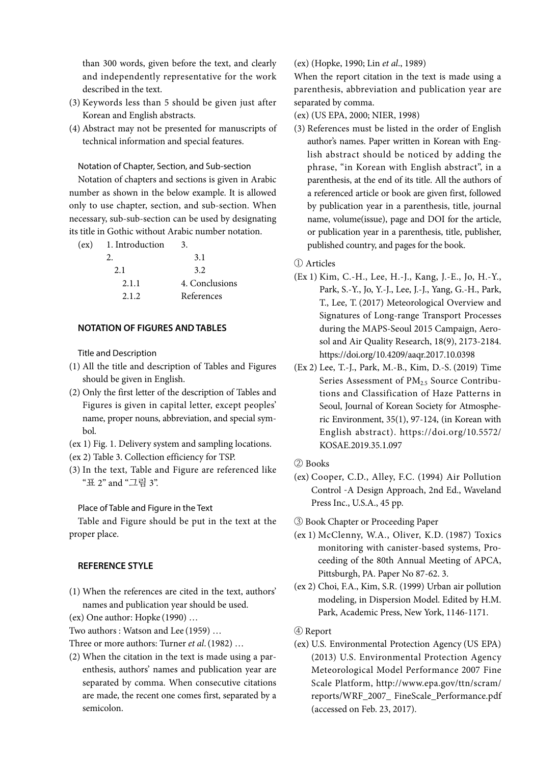than 300 words, given before the text, and clearly and independently representative for the work described in the text.

- (3) Keywords less than 5 should be given just after Korean and English abstracts.
- (4) Abstract may not be presented for manuscripts of technical information and special features.

Notation of Chapter, Section, and Sub-section

Notation of chapters and sections is given in Arabic number as shown in the below example. It is allowed only to use chapter, section, and sub-section. When necessary, sub-sub-section can be used by designating its title in Gothic without Arabic number notation.

| (ex) 1. Introduction | 3.             |
|----------------------|----------------|
|                      | 3.1            |
| 2.1                  | 3.2            |
| 2.1.1                | 4. Conclusions |
| 2.1.2.               | References     |
|                      |                |

# **NOTATION OF FIGURES AND TABLES**

Title and Description

- (1) All the title and description of Tables and Figures should be given in English.
- (2) Only the first letter of the description of Tables and Figures is given in capital letter, except peoples' name, proper nouns, abbreviation, and special symbol.
- (ex 1) Fig. 1. Delivery system and sampling locations.
- (ex 2) Table 3. Collection efficiency for TSP.
- (3) In the text, Table and Figure are referenced like "표 2" and "그림 3".

Place of Table and Figure in the Text

Table and Figure should be put in the text at the proper place.

### **REFERENCE STYLE**

(1) When the references are cited in the text, authors' names and publication year should be used.

(ex) One author: Hopke (1990) …

Two authors : Watson and Lee (1959) …

Three or more authors: Turner *et al*.(1982) …

(2) When the citation in the text is made using a parenthesis, authors' names and publication year are separated by comma. When consecutive citations are made, the recent one comes first, separated by a semicolon.

(ex) (Hopke, 1990; Lin *et al*., 1989)

When the report citation in the text is made using a parenthesis, abbreviation and publication year are separated by comma.

(ex) (US EPA, 2000; NIER, 1998)

(3) References must be listed in the order of English author's names. Paper written in Korean with English abstract should be noticed by adding the phrase, "in Korean with English abstract", in a parenthesis, at the end of its title. All the authors of a referenced article or book are given first, followed by publication year in a parenthesis, title, journal name, volume(issue), page and DOI for the article, or publication year in a parenthesis, title, publisher, published country, and pages for the book.

① Articles

- (Ex 1) Kim, C.-H., Lee, H.-J., Kang, J.-E., Jo, H.-Y., Park, S.-Y., Jo, Y.-J., Lee, J.-J., Yang, G.-H., Park, T., Lee, T. (2017) Meteorological Overview and Signatures of Long-range Transport Processes during the MAPS-Seoul 2015 Campaign, Aerosol and Air Quality Research, 18(9), 2173-2184. https://doi.org/10.4209/aaqr.2017.10.0398
- (Ex 2) Lee, T.-J., Park, M.-B., Kim, D.-S. (2019) Time Series Assessment of  $PM<sub>25</sub>$  Source Contributions and Classification of Haze Patterns in Seoul, Journal of Korean Society for Atmospheric Environment, 35(1), 97-124, (in Korean with English abstract). https://doi.org/10.5572/ KOSAE.2019.35.1.097
- ② Books
- (ex) Cooper, C.D., Alley, F.C. (1994) Air Pollution Control -A Design Approach, 2nd Ed., Waveland Press Inc., U.S.A., 45 pp.

③ Book Chapter or Proceeding Paper

- (ex 1) McClenny, W.A., Oliver, K.D. (1987) Toxics monitoring with canister-based systems, Proceeding of the 80th Annual Meeting of APCA, Pittsburgh, PA. Paper No 87-62. 3.
- (ex 2) Choi, F.A., Kim, S.R. (1999) Urban air pollution modeling, in Dispersion Model. Edited by H.M. Park, Academic Press, New York, 1146-1171.
- ④ Report
- (ex) U.S. Environmental Protection Agency (US EPA) (2013) U.S. Environmental Protection Agency Meteorological Model Performance 2007 Fine Scale Platform, http://www.epa.gov/ttn/scram/ reports/WRF\_2007\_ FineScale\_Performance.pdf (accessed on Feb. 23, 2017).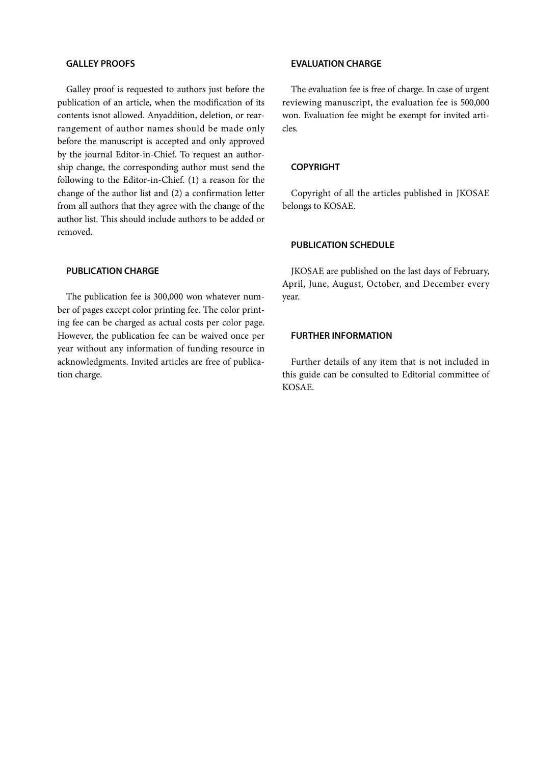### **GALLEY PROOFS**

Galley proof is requested to authors just before the publication of an article, when the modification of its contents isnot allowed. Anyaddition, deletion, or rearrangement of author names should be made only before the manuscript is accepted and only approved by the journal Editor-in-Chief. To request an authorship change, the corresponding author must send the following to the Editor-in-Chief. (1) a reason for the change of the author list and (2) a confirmation letter from all authors that they agree with the change of the author list. This should include authors to be added or removed.

# **PUBLICATION CHARGE**

The publication fee is 300,000 won whatever number of pages except color printing fee. The color printing fee can be charged as actual costs per color page. However, the publication fee can be waived once per year without any information of funding resource in acknowledgments. Invited articles are free of publication charge.

### **EVALUATION CHARGE**

The evaluation fee is free of charge. In case of urgent reviewing manuscript, the evaluation fee is 500,000 won. Evaluation fee might be exempt for invited articles.

# **COPYRIGHT**

Copyright of all the articles published in JKOSAE belongs to KOSAE.

### **PUBLICATION SCHEDULE**

JKOSAE are published on the last days of February, April, June, August, October, and December every year.

# **FURTHER INFORMATION**

Further details of any item that is not included in this guide can be consulted to Editorial committee of KOSAE.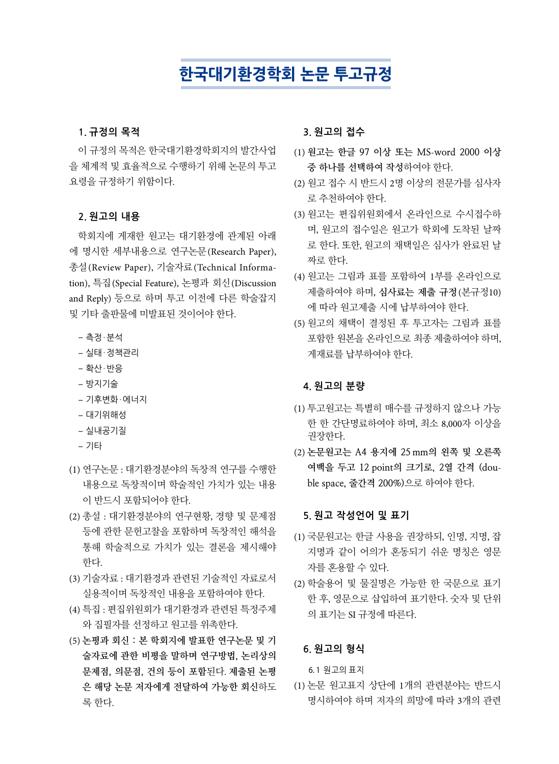# **한국대기환경학회 논문 투고규정**

### **1. 규정의 목적**

이 규정의 목적은 한국대기환경학회지의 발간사업 을 체계적 및 효율적으로 수행하기 위해 논문의 투고 요령을 규정하기 위함이다.

### **2. 원고의 내용**

학회지에 게재한 원고는 대기환경에 관계된 아래 에 명시한 세부내용으로 연구논문(Research Paper), 총설(Review Paper), 기술자료(Technical Information), 특집(Special Feature), 논평과 회신(Discussion and Reply) 등으로 하며 투고 이전에 다른 학술잡지 및 기타 출판물에 미발표된 것이어야 한다.

- 측정ㆍ분석
- 실태ㆍ정책관리
- $-$  확산·반응
- 방지기술
- 기후변화ㆍ에너지
- 대기위해성
- 실내공기질
- 기타
- (1) 연구논문 : 대기환경분야의 독창적 연구를 수행한 내용으로 독창적이며 학술적인 가치가 있는 내용 이 반드시 포함되어야 한다.
- (2) 총설 : 대기환경분야의 연구현황, 경향 및 문제점 등에 관한 문헌고찰을 포함하며 독창적인 해석을 통해 학술적으로 가치가 있는 결론을 제시해야 한다.
- (3) 기술자료 : 대기환경과 관련된 기술적인 자료로서 실용적이며 독창적인 내용을 포함하여야 한다.
- (4) 특집 : 편집위원회가 대기환경과 관련된 특정주제 와 집필자를 선정하고 원고를 위촉한다.
- (5) **논평과 회신 : 본 학회지에 발표한 연구논문 및 기 술자료에 관한 비평을 말하며 연구방법, 논리상의 문제점, 의문점, 건의 등이 포함**된다. **제출된 논평 은 해당 논문 저자에게 전달하여 가능한 회신**하도 록 한다.

# **3. 원고의 접수**

- (1) **원고는 한글 97 이상 또는 MS**-**word 2000 이상 중 하나를 선택하여 작성**하여야 한다.
- (2) 원고 접수 시 반드시 2명 이상의 전문가를 심사자 로 추천하여야 한다.
- (3) 원고는 편집위원회에서 온라인으로 수시접수하 며, 원고의 접수일은 원고가 학회에 도착된 날짜 로 한다. 또한, 원고의 채택일은 심사가 완료된 날 짜로 한다.
- (4) 원고는 그림과 표를 포함하여 1부를 온라인으로 제출하여야 하며, **심사료는 제출 규정**(본규정10) 에 따라 원고제출 시에 납부하여야 한다.
- (5) 원고의 채택이 결정된 후 투고자는 그림과 표를 포함한 원본을 온라인으로 최종 제출하여야 하며, 게재료를 납부하여야 한다.

# **4. 원고의 분량**

- (1) 투고원고는 특별히 매수를 규정하지 않으나 가능 한 한 간단명료하여야 하며, 최소 8,000자 이상을 권장한다.
- (2) **논문원고는 A4 용지에 25 mm의 왼쪽 및 오른쪽 여백을 두고 12 point의 크기로, 2열 간격 (double space, 줄간격 200%)**으로 하여야 한다.

# **5. 원고 작성언어 및 표기**

- (1) 국문원고는 한글 사용을 권장하되, 인명, 지명, 잡 지명과 같이 어의가 혼동되기 쉬운 명칭은 영문 자를 혼용할 수 있다.
- (2) 학술용어 및 물질명은 가능한 한 국문으로 표기 한 후, 영문으로 삽입하여 표기한다. 숫자 및 단위 의 표기는 SI 규정에 따른다.

# **6. 원고의 형식**

6. 1 원고의 표지

(1) 논문 원고표지 상단에 1개의 관련분야는 반드시 명시하여야 하며 저자의 희망에 따라 3개의 관련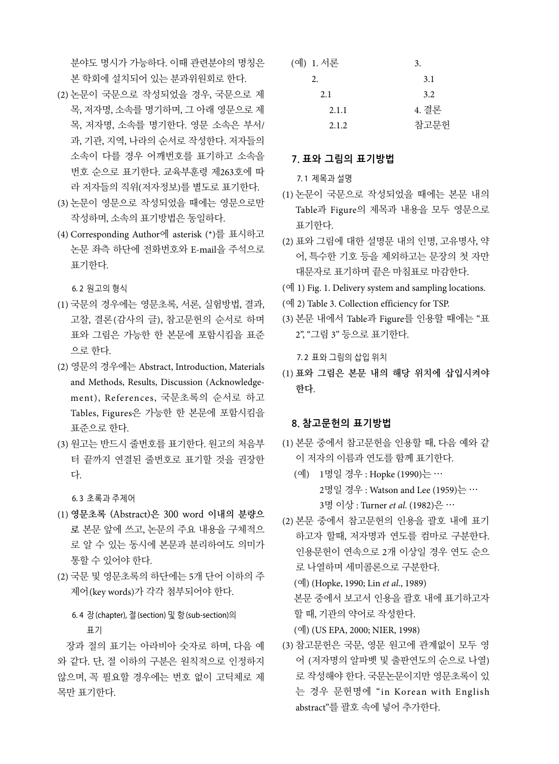분야도 명시가 가능하다. 이때 관련분야의 명칭은 본 학회에 설치되어 있는 분과위원회로 한다.

- (2) 논문이 국문으로 작성되었을 경우, 국문으로 제 목, 저자명, 소속를 명기하며, 그 아래 영문으로 제 목, 저자명, 소속를 명기한다. 영문 소속은 부서/ 과, 기관, 지역, 나라의 순서로 작성한다. 저자들의 소속이 다를 경우 어깨번호를 표기하고 소속을 번호 순으로 표기한다. 교육부훈령 제263호에 따 라 저자들의 직위(저자정보)를 별도로 표기한다.
- (3) 논문이 영문으로 작성되었을 때에는 영문으로만 작성하며, 소속의 표기방법은 동일하다.
- (4) Corresponding Author에 asterisk (\*)를 표시하고 논문 좌측 하단에 전화번호와 E-mail을 주석으로 표기한다.

6. 2 원고의 형식

- (1) 국문의 경우에는 영문초록, 서론, 실험방법, 결과, 고찰, 결론(감사의 글), 참고문헌의 순서로 하며 표와 그림은 가능한 한 본문에 포함시킴을 표준 으로 한다.
- (2) 영문의 경우에는 Abstract, Introduction, Materials and Methods, Results, Discussion (Acknowledgement), References, 국문초록의 순서로 하고 Tables, Figures은 가능한 한 본문에 포함시킴을 표준으로 한다.
- (3) 원고는 반드시 줄번호를 표기한다. 원고의 처음부 터 끝까지 연결된 줄번호로 표기할 것을 권장한 다.

6. 3 초록과 주제어

- (1) **영문초록 (Abstract)은 300 word 이내의 분량으 로** 본문 앞에 쓰고, 논문의 주요 내용을 구체적으 로 알 수 있는 동시에 본문과 분리하여도 의미가 통할 수 있어야 한다.
- (2) 국문 및 영문초록의 하단에는 5개 단어 이하의 주 제어(key words)가 각각 첨부되어야 한다.

# 6. 4 장(chapter), 절(section) 및 항(sub-section)의 표기

장과 절의 표기는 아라비아 숫자로 하며, 다음 예 와 같다. 단, 절 이하의 구분은 원칙적으로 인정하지 않으며, 꼭 필요할 경우에는 번호 없이 고딕체로 제 목만 표기한다.

| (예) 1. 서론 | 3.    |
|-----------|-------|
| 2.        | 3.1   |
| 2.1       | 3.2   |
| 2.1.1     | 4. 결론 |
| 2.1.2     | 참고문헌  |

# **7. 표와 그림의 표기방법**

7. 1 제목과 설명

- (1) 논문이 국문으로 작성되었을 때에는 본문 내의 Table과 Figure의 제목과 내용을 모두 영문으로 표기한다.
- (2) 표와 그림에 대한 설명문 내의 인명, 고유명사, 약 어, 특수한 기호 등을 제외하고는 문장의 첫 자만 대문자로 표기하며 끝은 마침표로 마감한다.
- (예 1) Fig. 1. Delivery system and sampling locations.
- (예 2) Table 3. Collection efficiency for TSP.
- (3) 본문 내에서 Table과 Figure를 인용할 때에는 "표 2", "그림 3" 등으로 표기한다.

7. 2 표와 그림의 삽입 위치

(1) **표와 그림은 본문 내의 해당 위치에 삽입시켜야 한다**.

# **8. 참고문헌의 표기방법**

- (1) 본문 중에서 참고문헌을 인용할 때, 다음 예와 같 이 저자의 이름과 연도를 함께 표기한다.
	- (예) 1명일 경우 : Hopke (1990)는 … 2명일 경우 : Watson and Lee (1959)는 … 3명 이상 : Turner *et al*. (1982)은 …
- (2) 본문 중에서 참고문헌의 인용을 괄호 내에 표기 하고자 할때, 저자명과 연도를 컴마로 구분한다. 인용문헌이 연속으로 2개 이상일 경우 연도 순으 로 나열하며 세미콜론으로 구분한다.

(예) (Hopke, 1990; Lin *et al*., 1989) 본문 중에서 보고서 인용을 괄호 내에 표기하고자 할 때, 기관의 약어로 작성한다.

(예) (US EPA, 2000; NIER, 1998)

(3) 참고문헌은 국문, 영문 원고에 관계없이 모두 영 어 (저자명의 알파벳 및 출판연도의 순으로 나열) 로 작성해야 한다. 국문논문이지만 영문초록이 있 는 경우 문헌명에 "in Korean with English abstract"를 괄호 속에 넣어 추가한다.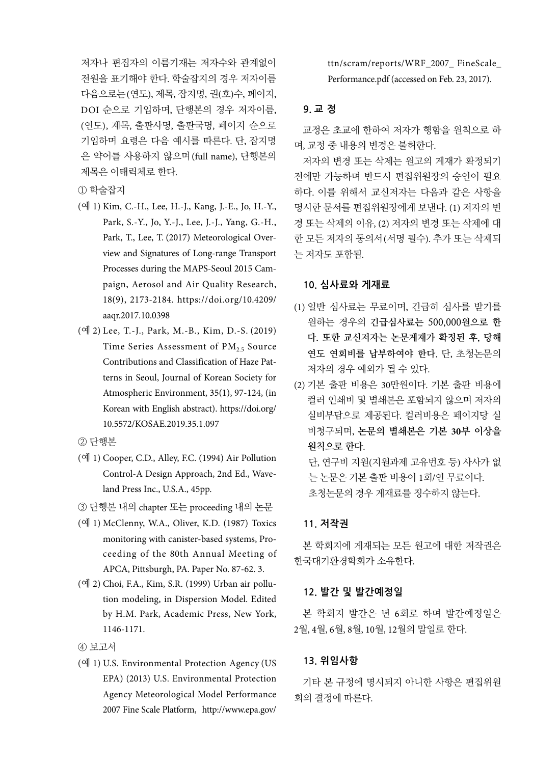저자나 편집자의 이름기재는 저자수와 관계없이 전원을 표기해야 한다. 학술잡지의 경우 저자이름 다음으로는(연도), 제목, 잡지명, 권(호)수, 페이지, DOI 순으로 기입하며, 단행본의 경우 저자이름, (연도), 제목, 출판사명, 출판국명, 페이지 순으로 기입하며 요령은 다음 예시를 따른다. 단, 잡지명 은 약어를 사용하지 않으며(full name), 단행본의 제목은 이태릭체로 한다.

① 학술잡지

- (예 1) Kim, C.-H., Lee, H.-J., Kang, J.-E., Jo, H.-Y., Park, S.-Y., Jo, Y.-J., Lee, J.-J., Yang, G.-H., Park, T., Lee, T. (2017) Meteorological Overview and Signatures of Long-range Transport Processes during the MAPS-Seoul 2015 Campaign, Aerosol and Air Quality Research, 18(9), 2173-2184. https://doi.org/10.4209/ aaqr.2017.10.0398
- (예 2) Lee, T.-J., Park, M.-B., Kim, D.-S. (2019) Time Series Assessment of  $PM_{2.5}$  Source Contributions and Classification of Haze Patterns in Seoul, Journal of Korean Society for Atmospheric Environment, 35(1), 97-124, (in Korean with English abstract). https://doi.org/ 10.5572/KOSAE.2019.35.1.097
- ② 단행본
- (예 1) Cooper, C.D., Alley, F.C. (1994) Air Pollution Control-A Design Approach, 2nd Ed., Waveland Press Inc., U.S.A., 45pp.
- ③ 단행본 내의 chapter 또는 proceeding 내의 논문
- (예 1) McClenny, W.A., Oliver, K.D. (1987) Toxics monitoring with canister-based systems, Proceeding of the 80th Annual Meeting of APCA, Pittsburgh, PA. Paper No. 87-62. 3.
- (예 2) Choi, F.A., Kim, S.R. (1999) Urban air pollution modeling, in Dispersion Model. Edited by H.M. Park, Academic Press, New York, 1146-1171.

④ 보고서

(예 1) U.S. Environmental Protection Agency (US EPA) (2013) U.S. Environmental Protection Agency Meteorological Model Performance 2007 Fine Scale Platform, http://www.epa.gov/

ttn/scram/reports/WRF\_2007\_ FineScale\_ Performance.pdf (accessed on Feb. 23, 2017).

# **9. 교 정**

교정은 초교에 한하여 저자가 행함을 원칙으로 하 며, 교정 중 내용의 변경은 불허한다.

저자의 변경 또는 삭제는 원고의 게재가 확정되기 전에만 가능하며 반드시 편집위원장의 승인이 필요 하다. 이를 위해서 교신저자는 다음과 같은 사항을 명시한 문서를 편집위원장에게 보낸다. (1) 저자의 변 경 또는 삭제의 이유, (2) 저자의 변경 또는 삭제에 대 한 모든 저자의 동의서(서명 필수). 추가 또는 삭제되 는 저자도 포함됨.

### **10. 심사료와 게재료**

- (1) 일반 심사료는 무료이며, 긴급히 심사를 받기를 원하는 경우의 **긴급심사료는 500,000원으로 한 다. 또한 교신저자는 논문게재가 확정된 후, 당해 연도 연회비를 납부하여야 한다.** 단, 초청논문의 저자의 경우 예외가 될 수 있다.
- (2) 기본 출판 비용은 30만원이다. 기본 출판 비용에 컬러 인쇄비 및 별쇄본은 포함되지 않으며 저자의 실비부담으로 제공된다. 컬러비용은 페이지당 실 비청구되며, **논문의 별쇄본은 기본 30부 이상을 원칙으로 한다**.

단, 연구비 지원(지원과제 고유번호 등) 사사가 없 는 논문은 기본 출판 비용이 1회/연 무료이다. 초청논문의 경우 게재료를 징수하지 않는다.

# **11. 저작권**

본 학회지에 게재되는 모든 원고에 대한 저작권은 한국대기환경학회가 소유한다.

### **12. 발간 및 발간예정일**

본 학회지 발간은 년 6회로 하며 발간예정일은 2월, 4월, 6월, 8월, 10월, 12월의 말일로 한다.

## **13. 위임사항**

기타 본 규정에 명시되지 아니한 사항은 편집위원 회의 결정에 따른다.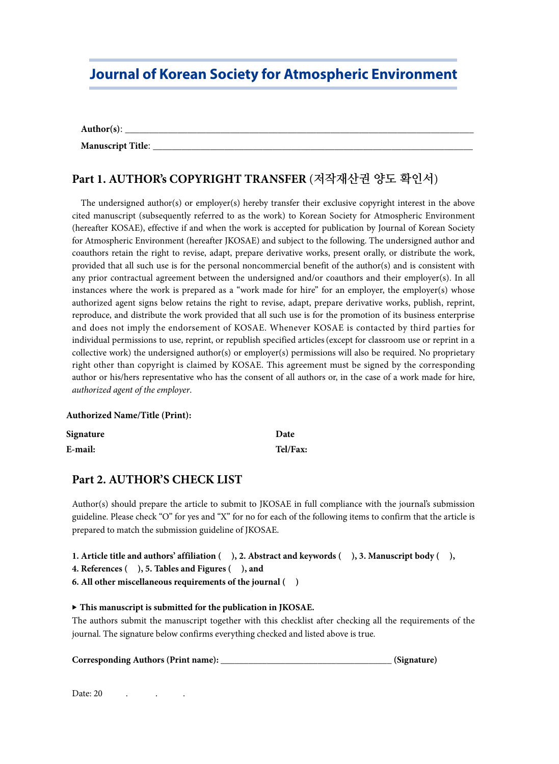# **Journal of Korean Society for Atmospheric Environment**

Author(s): **Manuscript Title**: \_\_\_\_\_\_\_\_\_\_\_\_\_\_\_\_\_\_\_\_\_\_\_\_\_\_\_\_\_\_\_\_\_\_\_\_\_\_\_\_\_\_\_\_\_\_\_\_\_\_\_\_\_\_\_\_\_\_\_\_\_\_\_\_\_\_\_

# **Part 1. AUTHOR's COPYRIGHT TRANSFER** (**저작재산권 양도 확인서**)

The undersigned author(s) or employer(s) hereby transfer their exclusive copyright interest in the above cited manuscript (subsequently referred to as the work) to Korean Society for Atmospheric Environment (hereafter KOSAE), effective if and when the work is accepted for publication by Journal of Korean Society for Atmospheric Environment (hereafter JKOSAE) and subject to the following. The undersigned author and coauthors retain the right to revise, adapt, prepare derivative works, present orally, or distribute the work, provided that all such use is for the personal noncommercial benefit of the author(s) and is consistent with any prior contractual agreement between the undersigned and/or coauthors and their employer(s). In all instances where the work is prepared as a "work made for hire" for an employer, the employer(s) whose authorized agent signs below retains the right to revise, adapt, prepare derivative works, publish, reprint, reproduce, and distribute the work provided that all such use is for the promotion of its business enterprise and does not imply the endorsement of KOSAE. Whenever KOSAE is contacted by third parties for individual permissions to use, reprint, or republish specified articles(except for classroom use or reprint in a collective work) the undersigned author(s) or employer(s) permissions will also be required. No proprietary right other than copyright is claimed by KOSAE. This agreement must be signed by the corresponding author or his/hers representative who has the consent of all authors or, in the case of a work made for hire, *authorized agent of the employer*.

### **Authorized Name/Title (Print):**

| Signature | Date     |
|-----------|----------|
| E-mail:   | Tel/Fax: |

# **Part 2. AUTHOR'S CHECK LIST**

Author(s) should prepare the article to submit to JKOSAE in full compliance with the journal's submission guideline. Please check "O" for yes and "X" for no for each of the following items to confirm that the article is prepared to match the submission guideline of JKOSAE.

```
1. Article title and authors' affiliation ( ), 2. Abstract and keywords ( ), 3. Manuscript body ( ),
```
**4. References ( ), 5. Tables and Figures ( ), and** 

**6. All other miscellaneous requirements of the journal ( )**

### ▶ **This manuscript is submitted for the publication in JKOSAE.**

The authors submit the manuscript together with this checklist after checking all the requirements of the journal. The signature below confirms everything checked and listed above is true.

**Corresponding Authors (Print name): \_\_\_\_\_\_\_\_\_\_\_\_\_\_\_\_\_\_\_\_\_\_\_\_\_\_\_\_\_\_\_\_\_\_\_\_\_ (Signature)**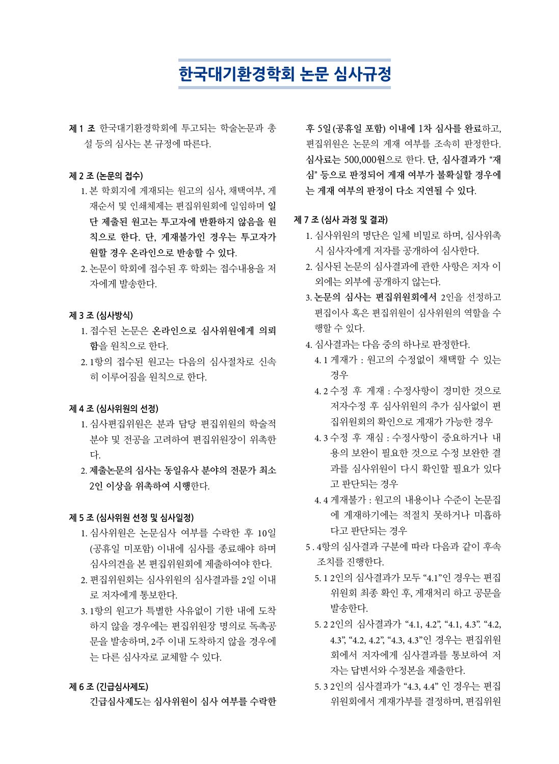# **한국대기환경학회 논문 심사규정**

**제 1 조** 한국대기환경학회에 투고되는 학술논문과 총 설 등의 심사는 본 규정에 따른다.

### **제 2 조 (논문의 접수)**

- 1. 본 학회지에 게재되는 원고의 심사, 채택여부, 게 재순서 및 인쇄체제는 편집위원회에 일임하며 **일 단 제출된 원고는 투고자에 반환하지 않음을 원 칙으로 한다. 단, 게재불가인 경우는 투고자가 원할 경우 온라인으로 반송할 수 있다**.
- 2. 논문이 학회에 접수된 후 학회는 접수내용을 저 자에게 발송한다.

### **제 3 조 (심사방식)**

- 1. 접수된 논문은 **온라인으로 심사위원에게 의뢰 함**을 원칙으로 한다.
- 2. 1항의 접수된 원고는 다음의 심사절차로 신속 히 이루어짐을 원칙으로 한다.

# **제 4 조 (심사위원의 선정)**

- 1. 심사편집위원은 분과 담당 편집위원의 학술적 분야 및 전공을 고려하여 편집위원장이 위촉한 다.
- 2. **제출논문의 심사는 동일유사 분야의 전문가 최소 2인 이상을 위촉하여 시행**한다.

#### **제 5 조 (심사위원 선정 및 심사일정)**

- 1. 심사위원은 논문심사 여부를 수락한 후 10일 (공휴일 미포함) 이내에 심사를 종료해야 하며 심사의견을 본 편집위원회에 제출하여야 한다.
- 2. 편집위원회는 심사위원의 심사결과를 2일 이내 로 저자에게 통보한다.
- 3. 1항의 원고가 특별한 사유없이 기한 내에 도착 하지 않을 경우에는 편집위원장 명의로 독촉공 문을 발송하며, 2주 이내 도착하지 않을 경우에 는 다른 심사자로 교체할 수 있다.

# **제 6 조 (긴급심사제도)**

**긴급심사제도**는 **심사위원이 심사 여부를 수락한** 

**후 5일(공휴일 포함) 이내에 1차 심사를 완료**하고, 편집위원은 논문의 게재 여부를 조속히 판정한다. **심사료는 500,000원**으로 한다. **단, 심사결과가** "**재 심**" **등으로 판정되어 게재 여부가 불확실할 경우에 는 게재 여부의 판정이 다소 지연될 수 있다**.

### **제 7 조 (심사 과정 및 결과)**

- 1. 심사위원의 명단은 일체 비밀로 하며, 심사위촉 시 심사자에게 저자를 공개하여 심사한다.
- 2. 심사된 논문의 심사결과에 관한 사항은 저자 이 외에는 외부에 공개하지 않는다.
- 3. **논문의 심사는 편집위원회에서** 2인을 선정하고 편집이사 혹은 편집위원이 심사위원의 역할을 수 행할 수 있다.
- 4. 심사결과는 다음 중의 하나로 판정한다.
	- 4. 1 게재가 : 원고의 수정없이 채택할 수 있는 경우
	- 4. 2 수정 후 게재 : 수정사항이 경미한 것으로 저자수정 후 심사위원의 추가 심사없이 편 집위원회의 확인으로 게재가 가능한 경우
	- 4. 3 수정 후 재심 : 수정사항이 중요하거나 내 용의 보완이 필요한 것으로 수정 보완한 결 과를 심사위원이 다시 확인할 필요가 있다 고 판단되는 경우
	- 4. 4 게재불가 : 원고의 내용이나 수준이 논문집 에 게재하기에는 적절치 못하거나 미흡하 다고 판단되는 경우
- 5 . 4항의 심사결과 구분에 따라 다음과 같이 후속 조치를 진행한다.
	- 5. 1 2인의 심사결과가 모두 "4.1"인 경우는 편집 위원회 최종 확인 후, 게재처리 하고 공문을 발송한다.
	- 5. 2 2인의 심사결과가 "4.1, 4.2", "4.1, 4.3". "4.2, 4.3", "4.2, 4.2", "4.3, 4.3"인 경우는 편집위원 회에서 저자에게 심사결과를 통보하여 저 자는 답변서와 수정본을 제출한다.
	- 5. 3 2인의 심사결과가 "4.3, 4.4" 인 경우는 편집 위원회에서 게재가부를 결정하며, 편집위원